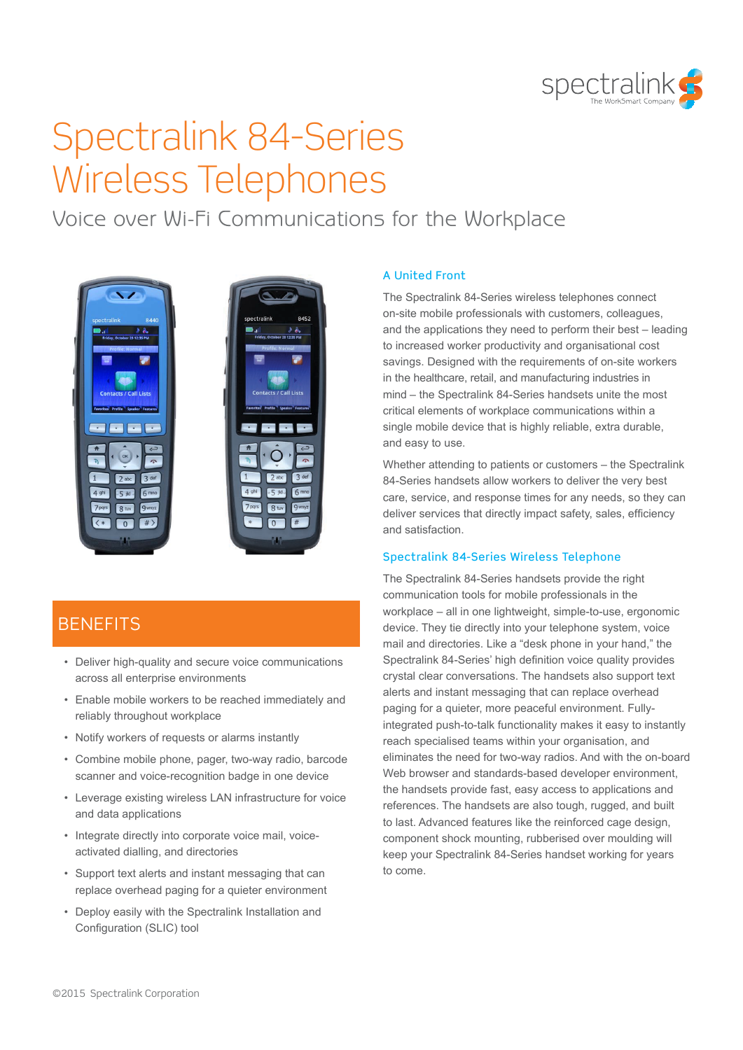

# Spectralink 84-Series Wireless Telephones

Voice over Wi-Fi Communications for the Workplace



## **BENFFITS**

- Deliver high-quality and secure voice communications across all enterprise environments
- Enable mobile workers to be reached immediately and reliably throughout workplace
- Notify workers of requests or alarms instantly
- Combine mobile phone, pager, two-way radio, barcode scanner and voice-recognition badge in one device
- Leverage existing wireless LAN infrastructure for voice and data applications
- Integrate directly into corporate voice mail, voiceactivated dialling, and directories
- Support text alerts and instant messaging that can replace overhead paging for a quieter environment
- Deploy easily with the Spectralink Installation and Configuration (SLIC) tool

#### A United Front

The Spectralink 84-Series wireless telephones connect on-site mobile professionals with customers, colleagues, and the applications they need to perform their best – leading to increased worker productivity and organisational cost savings. Designed with the requirements of on-site workers in the healthcare, retail, and manufacturing industries in mind – the Spectralink 84-Series handsets unite the most critical elements of workplace communications within a single mobile device that is highly reliable, extra durable, and easy to use.

Whether attending to patients or customers – the Spectralink 84-Series handsets allow workers to deliver the very best care, service, and response times for any needs, so they can deliver services that directly impact safety, sales, efficiency and satisfaction.

#### Spectralink 84-Series Wireless Telephone

The Spectralink 84-Series handsets provide the right communication tools for mobile professionals in the workplace – all in one lightweight, simple-to-use, ergonomic device. They tie directly into your telephone system, voice mail and directories. Like a "desk phone in your hand," the Spectralink 84-Series' high definition voice quality provides crystal clear conversations. The handsets also support text alerts and instant messaging that can replace overhead paging for a quieter, more peaceful environment. Fullyintegrated push-to-talk functionality makes it easy to instantly reach specialised teams within your organisation, and eliminates the need for two-way radios. And with the on-board Web browser and standards-based developer environment. the handsets provide fast, easy access to applications and references. The handsets are also tough, rugged, and built to last. Advanced features like the reinforced cage design, component shock mounting, rubberised over moulding will keep your Spectralink 84-Series handset working for years to come.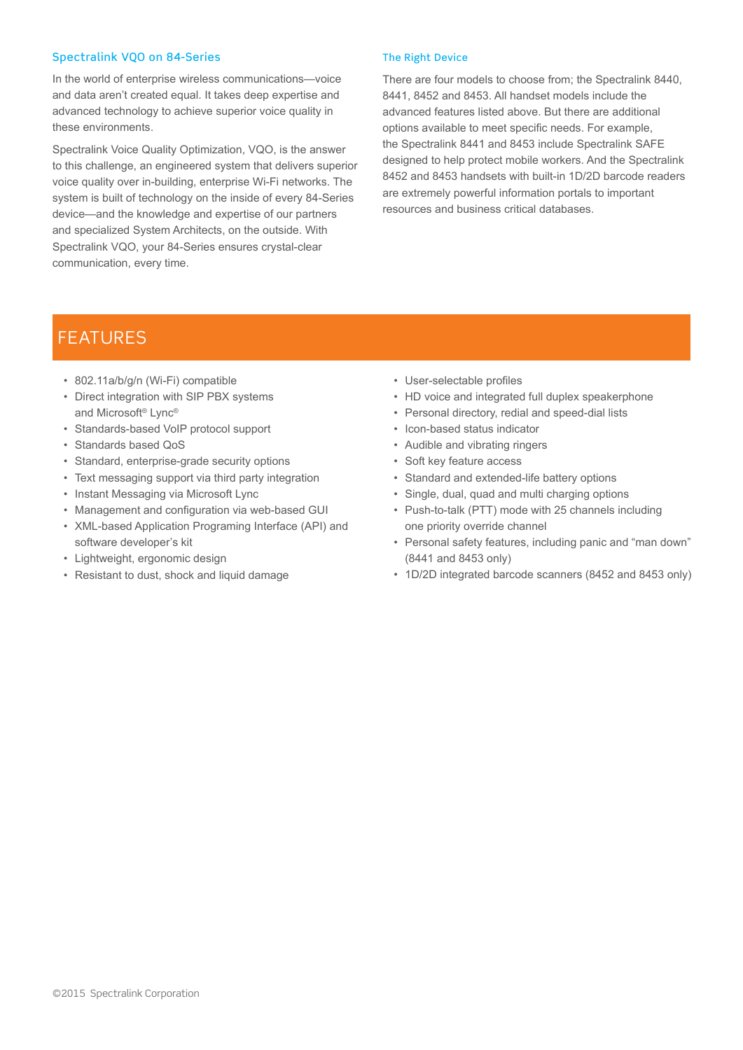#### Spectralink VQO on 84-Series

In the world of enterprise wireless communications—voice and data aren't created equal. It takes deep expertise and advanced technology to achieve superior voice quality in these environments.

Spectralink Voice Quality Optimization, VQO, is the answer to this challenge, an engineered system that delivers superior voice quality over in-building, enterprise Wi-Fi networks. The system is built of technology on the inside of every 84-Series device—and the knowledge and expertise of our partners and specialized System Architects, on the outside. With Spectralink VQO, your 84-Series ensures crystal-clear communication, every time.

#### The Right Device

There are four models to choose from; the Spectralink 8440, 8441, 8452 and 8453. All handset models include the advanced features listed above. But there are additional options available to meet specific needs. For example, the Spectralink 8441 and 8453 include Spectralink SAFE designed to help protect mobile workers. And the Spectralink 8452 and 8453 handsets with built-in 1D/2D barcode readers are extremely powerful information portals to important resources and business critical databases.

### FEATURES

- 802.11a/b/g/n (Wi-Fi) compatible
- Direct integration with SIP PBX systems and Microsoft® Lync®
- Standards-based VoIP protocol support
- Standards based QoS
- Standard, enterprise-grade security options
- Text messaging support via third party integration
- Instant Messaging via Microsoft Lync
- Management and configuration via web-based GUI
- XML-based Application Programing Interface (API) and software developer's kit
- Lightweight, ergonomic design
- Resistant to dust, shock and liquid damage
- User-selectable profiles
- HD voice and integrated full duplex speakerphone
- Personal directory, redial and speed-dial lists
- Icon-based status indicator
- Audible and vibrating ringers
- Soft key feature access
- Standard and extended-life battery options
- Single, dual, quad and multi charging options
- Push-to-talk (PTT) mode with 25 channels including one priority override channel
- Personal safety features, including panic and "man down" (8441 and 8453 only)
- 1D/2D integrated barcode scanners (8452 and 8453 only)